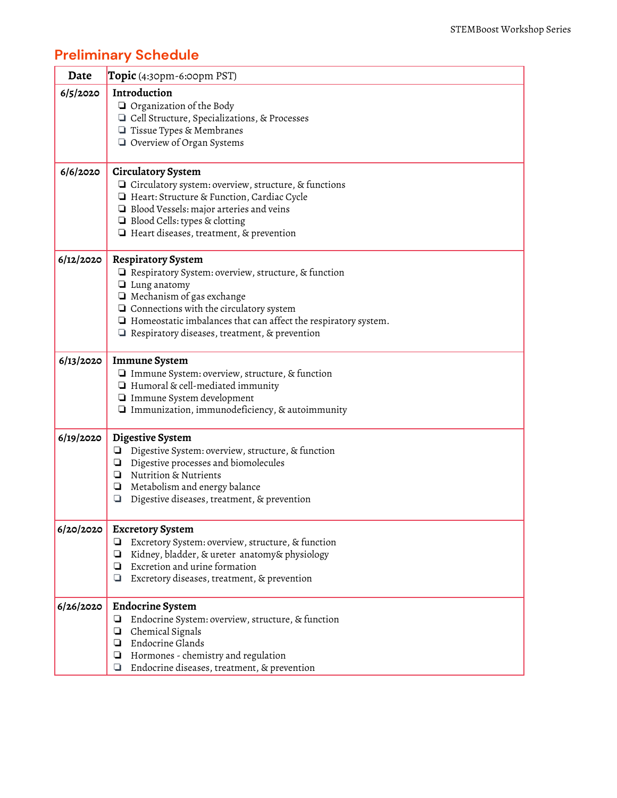## Preliminary Schedule

| Date      | Topic (4:30pm-6:00pm PST)                                             |
|-----------|-----------------------------------------------------------------------|
| 6/5/2020  | Introduction                                                          |
|           | $\Box$ Organization of the Body                                       |
|           | □ Cell Structure, Specializations, & Processes                        |
|           | □ Tissue Types & Membranes                                            |
|           | Overview of Organ Systems                                             |
| 6/6/2020  | <b>Circulatory System</b>                                             |
|           | □ Circulatory system: overview, structure, & functions                |
|           | Heart: Structure & Function, Cardiac Cycle                            |
|           | $\Box$ Blood Vessels: major arteries and veins                        |
|           | □ Blood Cells: types & clotting                                       |
|           | $\Box$ Heart diseases, treatment, & prevention                        |
| 6/12/2020 | <b>Respiratory System</b>                                             |
|           | $\Box$ Respiratory System: overview, structure, & function            |
|           | $\Box$ Lung anatomy                                                   |
|           | $\Box$ Mechanism of gas exchange                                      |
|           | $\Box$ Connections with the circulatory system                        |
|           | $\Box$ Homeostatic imbalances that can affect the respiratory system. |
|           | $\Box$ Respiratory diseases, treatment, & prevention                  |
| 6/13/2020 | <b>Immune System</b>                                                  |
|           | $\Box$ Immune System: overview, structure, & function                 |
|           | $\Box$ Humoral & cell-mediated immunity                               |
|           | Immune System development                                             |
|           | $\Box$ Immunization, immunodeficiency, & autoimmunity                 |
| 6/19/2020 | Digestive System                                                      |
|           | Digestive System: overview, structure, & function<br>⊔                |
|           | Digestive processes and biomolecules<br>❏                             |
|           | Nutrition & Nutrients<br>❏                                            |
|           | Metabolism and energy balance<br>❏                                    |
|           | Digestive diseases, treatment, & prevention<br>❏                      |
| 6/20/2020 | <b>Excretory System</b>                                               |
|           | Excretory System: overview, structure, & function<br>❏                |
|           | Kidney, bladder, & ureter anatomy& physiology<br>❏                    |
|           | Excretion and urine formation<br>❏                                    |
|           | Excretory diseases, treatment, & prevention<br>❏                      |
| 6/26/2020 | <b>Endocrine System</b>                                               |
|           | Endocrine System: overview, structure, & function<br>⊔                |
|           | Chemical Signals<br>❏                                                 |
|           | Endocrine Glands<br>❏                                                 |
|           | Hormones - chemistry and regulation<br>❏                              |
|           | Endocrine diseases, treatment, & prevention<br>❏                      |